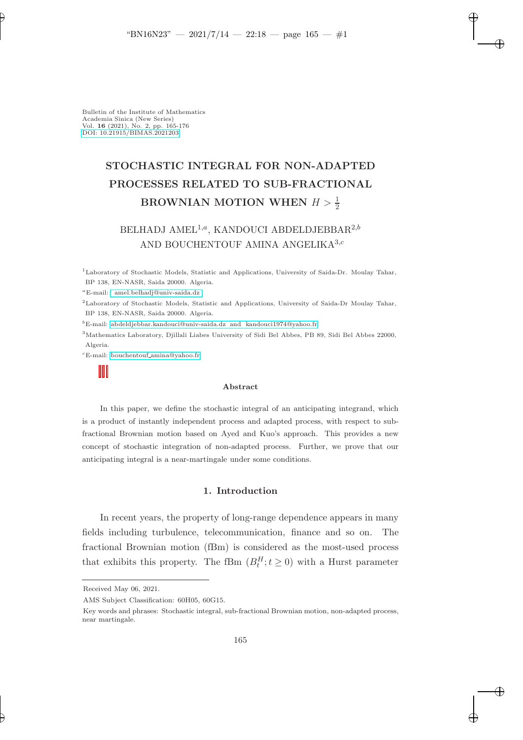✐

✐

✐

Bulletin of the Institute of Mathematics Academia Sinica (New Series) Vol. 16 (2021), No. 2, pp. 165-176 [DOI: 10.21915/BIMAS.2021203](10.21915/BIMAS.2021203)

✐

✐

# STOCHASTIC INTEGRAL FOR NON-ADAPTED PROCESSES RELATED TO SUB-FRACTIONAL BROWNIAN MOTION WHEN  $H > \frac{1}{2}$

# BELHADJ AMEL<sup>1,a</sup>, KANDOUCI ABDELDJEBBAR<sup>2,b</sup> AND BOUCHENTOUF AMINA ANGELIKA<sup>3,c</sup>

<sup>1</sup>Laboratory of Stochastic Models, Statistic and Applications, University of Saida-Dr. Moulay Tahar, BP 138, EN-NASR, Saida 20000. Algeria.

<sup>a</sup>E-mail: [amel.belhadj@univ-saida.dz](mailto:e-mail address)

<sup>2</sup>Laboratory of Stochastic Models, Statistic and Applications, University of Saida-Dr Moulay Tahar, BP 138, EN-NASR, Saida 20000. Algeria.

 ${}^{b}$ E-mail: [abdeldjebbar.kandouci@univ-saida.dz and kandouci1974@yahoo.fr](mailto:e-mail address)

<sup>3</sup>Mathematics Laboratory, Djillali Liabes University of Sidi Bel Abbes, PB 89, Sidi Bel Abbes 22000, Algeria.

 ${}^c$ E-mail: bouchentouf [amina@yahoo.fr](mailto:e-mail address)

#### Abstract

In this paper, we define the stochastic integral of an anticipating integrand, which is a product of instantly independent process and adapted process, with respect to subfractional Brownian motion based on Ayed and Kuo's approach. This provides a new concept of stochastic integration of non-adapted process. Further, we prove that our anticipating integral is a near-martingale under some conditions.

# 1. Introduction

In recent years, the property of long-range dependence appears in many fields including turbulence, telecommunication, finance and so on. The fractional Brownian motion (fBm) is considered as the most-used process that exhibits this property. The fBm  $(B_t^H; t \geq 0)$  with a Hurst parameter

AMS Subject Classification: 60H05, 60G15.

Received May 06, 2021.

Key words and phrases: Stochastic integral, sub-fractional Brownian motion, non-adapted process, near martingale.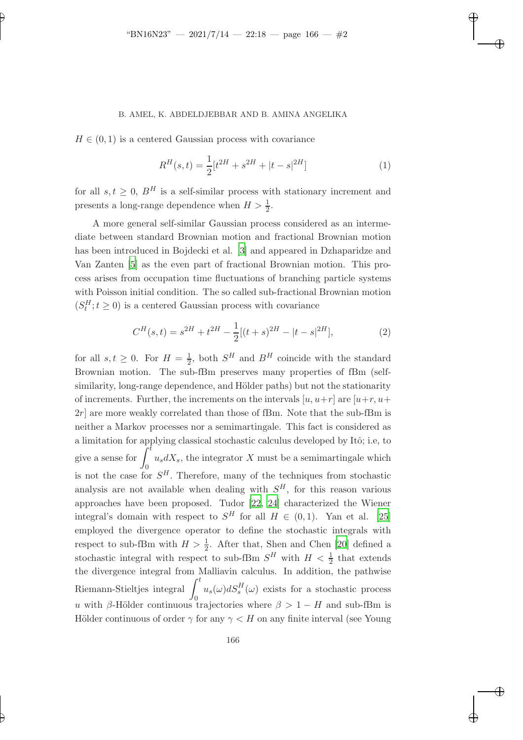#### B. AMEL, K. ABDELDJEBBAR AND B. AMINA ANGELIKA

 $H \in (0, 1)$  is a centered Gaussian process with covariance

✐

✐

$$
R^{H}(s,t) = \frac{1}{2} [t^{2H} + s^{2H} + |t - s|^{2H}]
$$
 (1)

✐

✐

✐

✐

for all  $s, t \geq 0$ ,  $B<sup>H</sup>$  is a self-similar process with stationary increment and presents a long-range dependence when  $H > \frac{1}{2}$ .

A more general self-similar Gaussian process considered as an intermediate between standard Brownian motion and fractional Brownian motion has been introduced in Bojdecki et al. [\[3](#page-10-0)] and appeared in Dzhaparidze and Van Zanten [\[5\]](#page-10-1) as the even part of fractional Brownian motion. This process arises from occupation time fluctuations of branching particle systems with Poisson initial condition. The so called sub-fractional Brownian motion  $(S_t^H; t \geq 0)$  is a centered Gaussian process with covariance

$$
C^{H}(s,t) = s^{2H} + t^{2H} - \frac{1}{2}[(t+s)^{2H} - |t-s|^{2H}],
$$
\n(2)

for all  $s, t \geq 0$ . For  $H = \frac{1}{2}$ , both  $S^H$  and  $B^H$  coincide with the standard Brownian motion. The sub-fBm preserves many properties of fBm (selfsimilarity, long-range dependence, and Hölder paths) but not the stationarity of increments. Further, the increments on the intervals  $[u, u+r]$  are  $[u+r, u+$  $2r$  are more weakly correlated than those of fBm. Note that the sub-fBm is neither a Markov processes nor a semimartingale. This fact is considered as a limitation for applying classical stochastic calculus developed by Itô; i.e, to give a sense for  $\int_{0}^{\tilde{t}}$  $\theta$  $u_s dX_s$ , the integrator X must be a semimartingale which is not the case for  $S<sup>H</sup>$ . Therefore, many of the techniques from stochastic analysis are not available when dealing with  $S<sup>H</sup>$ , for this reason various approaches have been proposed. Tudor [\[22,](#page-11-0) [24](#page-11-1)] characterized the Wiener integral's domain with respect to  $S^H$  for all  $H \in (0,1)$ . Yan et al. [\[25\]](#page-11-2) employed the divergence operator to define the stochastic integrals with respect to sub-fBm with  $H > \frac{1}{2}$ . After that, Shen and Chen [\[20](#page-11-3)] defined a stochastic integral with respect to sub-fBm  $S^H$  with  $H < \frac{1}{2}$  that extends the divergence integral from Malliavin calculus. In addition, the pathwise Riemann-Stieltjes integral  $\int_0^t$ 0  $u_s(\omega)dS_s^H(\omega)$  exists for a stochastic process u with β-Hölder continuous trajectories where  $\beta > 1 - H$  and sub-fBm is Hölder continuous of order  $\gamma$  for any  $\gamma < H$  on any finite interval (see Young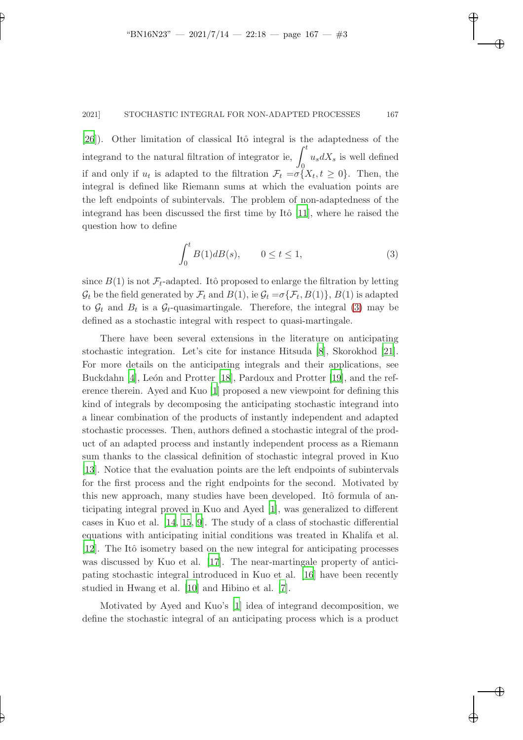✐

#### 2021] STOCHASTIC INTEGRAL FOR NON-ADAPTED PROCESSES 167

[\[26](#page-11-4)]). Other limitation of classical Itô integral is the adaptedness of the integrand to the natural filtration of integrator ie,  $\int_0^t$ 0  $u_s dX_s$  is well defined if and only if  $u_t$  is adapted to the filtration  $\mathcal{F}_t = \sigma\{X_t, t \geq 0\}$ . Then, the integral is defined like Riemann sums at which the evaluation points are the left endpoints of subintervals. The problem of non-adaptedness of the integrand has been discussed the first time by Itô  $[11]$ , where he raised the question how to define

<span id="page-2-0"></span>
$$
\int_0^t B(1)dB(s), \qquad 0 \le t \le 1,\tag{3}
$$

✐

✐

✐

✐

since  $B(1)$  is not  $\mathcal{F}_t$ -adapted. Itô proposed to enlarge the filtration by letting  $\mathcal{G}_t$  be the field generated by  $\mathcal{F}_t$  and  $B(1)$ , ie  $\mathcal{G}_t = \sigma\{\mathcal{F}_t, B(1)\}$ ,  $B(1)$  is adapted to  $\mathcal{G}_t$  and  $B_t$  is a  $\mathcal{G}_t$ -quasimartingale. Therefore, the integral [\(3\)](#page-2-0) may be defined as a stochastic integral with respect to quasi-martingale.

There have been several extensions in the literature on anticipating stochastic integration. Let's cite for instance Hitsuda [\[8\]](#page-10-2), Skorokhod [\[21](#page-11-6)]. For more details on the anticipating integrals and their applications, see Buckdahn [\[4](#page-10-3)], León and Protter [\[18](#page-11-7)], Pardoux and Protter [\[19](#page-11-8)], and the reference therein. Ayed and Kuo [\[1](#page-10-4)] proposed a new viewpoint for defining this kind of integrals by decomposing the anticipating stochastic integrand into a linear combination of the products of instantly independent and adapted stochastic processes. Then, authors defined a stochastic integral of the product of an adapted process and instantly independent process as a Riemann sum thanks to the classical definition of stochastic integral proved in Kuo [\[13](#page-11-9)]. Notice that the evaluation points are the left endpoints of subintervals for the first process and the right endpoints for the second. Motivated by this new approach, many studies have been developed. Itô formula of anticipating integral proved in Kuo and Ayed [\[1](#page-10-4)], was generalized to different cases in Kuo et al. [\[14](#page-11-10), [15,](#page-11-11) [9\]](#page-10-5). The study of a class of stochastic differential equations with anticipating initial conditions was treated in Khalifa et al. [\[12](#page-11-12)]. The Itô isometry based on the new integral for anticipating processes was discussed by Kuo et al. [\[17](#page-11-13)]. The near-martingale property of anticipating stochastic integral introduced in Kuo et al. [\[16\]](#page-11-14) have been recently studied in Hwang et al. [\[10\]](#page-11-15) and Hibino et al. [\[7\]](#page-10-6).

Motivated by Ayed and Kuo's [\[1\]](#page-10-4) idea of integrand decomposition, we define the stochastic integral of an anticipating process which is a product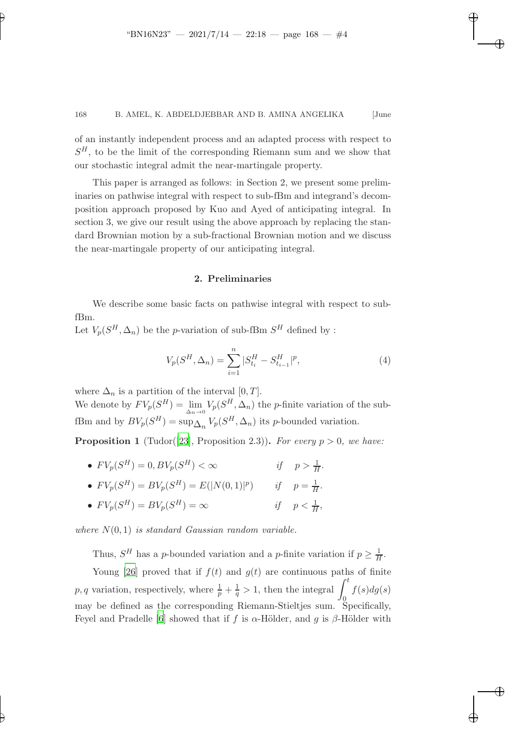✐

✐

✐

✐

✐

#### 168 B. AMEL, K. ABDELDJEBBAR AND B. AMINA ANGELIKA [June

of an instantly independent process and an adapted process with respect to  $S<sup>H</sup>$ , to be the limit of the corresponding Riemann sum and we show that our stochastic integral admit the near-martingale property.

This paper is arranged as follows: in Section 2, we present some preliminaries on pathwise integral with respect to sub-fBm and integrand's decomposition approach proposed by Kuo and Ayed of anticipating integral. In section 3, we give our result using the above approach by replacing the standard Brownian motion by a sub-fractional Brownian motion and we discuss the near-martingale property of our anticipating integral.

## 2. Preliminaries

We describe some basic facts on pathwise integral with respect to subfBm.

Let  $V_p(S^H, \Delta_n)$  be the *p*-variation of sub-fBm  $S^H$  defined by :

$$
V_p(S^H, \Delta_n) = \sum_{i=1}^n |S_{t_i}^H - S_{t_{i-1}}^H|^p,
$$
\n(4)

,

where  $\Delta_n$  is a partition of the interval [0, T]. We denote by  $FV_p(S^H) = \lim_{\Delta_n \to 0} V_p(S^H, \Delta_n)$  the *p*-finite variation of the subfBm and by  $BV_p(S^H) = \sup_{\Delta_n} V_p(S^H, \Delta_n)$  its p-bounded variation.

**Proposition 1** (Tudor([\[23](#page-11-16)], Proposition 2.3)). For every  $p > 0$ , we have:

•  $FV_p(S^H) = 0, BV_p(S)$  $H$ ) <  $\infty$  *if*  $p > \frac{1}{H}$ .

• 
$$
FV_p(S^H) = BV_p(S^H) = E(|N(0,1)|^p)
$$
 if  $p = \frac{1}{H}$ .

• 
$$
FV_p(S^H) = BV_p(S^H) = \infty
$$
 if  $p < \frac{1}{H}$ 

*where* N(0, 1) *is standard Gaussian random variable.*

Thus,  $S^H$  has a *p*-bounded variation and a *p*-finite variation if  $p \geq \frac{1}{H}$ .

Young [\[26](#page-11-4)] proved that if  $f(t)$  and  $g(t)$  are continuous paths of finite p, q variation, respectively, where  $\frac{1}{p} + \frac{1}{q} > 1$ , then the integral  $\int_0^t$  $f(s)dg(s)$ may be defined as the corresponding Riemann-Stieltjes sum. Specifically, Feyel and Pradelle [\[6](#page-10-7)] showed that if f is  $\alpha$ -Hölder, and g is  $\beta$ -Hölder with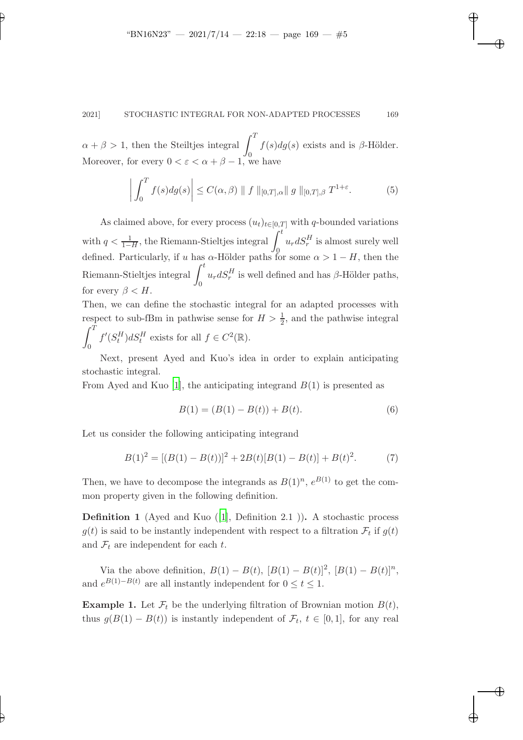✐

✐

✐

✐

✐

## 2021] STOCHASTIC INTEGRAL FOR NON-ADAPTED PROCESSES 169

 $\alpha + \beta > 1$ , then the Steiltjes integral  $\int_0^T$  $\mathbf{0}$  $f(s)dg(s)$  exists and is  $\beta$ -Hölder. Moreover, for every  $0 < \varepsilon < \alpha + \beta - 1$ , we have

$$
\left| \int_0^T f(s) dg(s) \right| \le C(\alpha, \beta) \| f \|_{[0,T],\alpha} \| g \|_{[0,T],\beta} T^{1+\varepsilon}.
$$
 (5)

As claimed above, for every process  $(u_t)_{t\in[0,T]}$  with q-bounded variations with  $q < \frac{1}{1-H}$ , the Riemann-Stieltjes integral  $\int_{0}^{t}$  $\overline{0}$  $u_r dS_r^H$  is almost surely well defined. Particularly, if u has  $\alpha$ -Hölder paths for some  $\alpha > 1 - H$ , then the Riemann-Stieltjes integral  $\int_0^t$  $\theta$  $u_r dS_r^H$  is well defined and has  $\beta$ -Hölder paths, for every  $\beta < H$ .

Then, we can define the stochastic integral for an adapted processes with respect to sub-fBm in pathwise sense for  $H > \frac{1}{2}$ , and the pathwise integral  $\int_0^T$  $\theta$  $f'(S_t^H)dS_t^H$  exists for all  $f \in C^2(\mathbb{R})$ .

Next, present Ayed and Kuo's idea in order to explain anticipating stochastic integral.

From Ayed and Kuo [\[1\]](#page-10-4), the anticipating integrand  $B(1)$  is presented as

$$
B(1) = (B(1) - B(t)) + B(t).
$$
\n(6)

Let us consider the following anticipating integrand

$$
B(1)2 = [(B(1) - B(t))]2 + 2B(t)[B(1) - B(t)] + B(t)2.
$$
 (7)

Then, we have to decompose the integrands as  $B(1)^n$ ,  $e^{B(1)}$  to get the common property given in the following definition.

**Definition 1** (Ayed and Kuo  $(1]$ , Definition 2.1). A stochastic process  $g(t)$  is said to be instantly independent with respect to a filtration  $\mathcal{F}_t$  if  $g(t)$ and  $\mathcal{F}_t$  are independent for each  $t$ .

<span id="page-4-0"></span>Via the above definition,  $B(1) - B(t)$ ,  $[B(1) - B(t)]^2$ ,  $[B(1) - B(t)]^n$ , and  $e^{B(1)-B(t)}$  are all instantly independent for  $0 \le t \le 1$ .

**Example 1.** Let  $\mathcal{F}_t$  be the underlying filtration of Brownian motion  $B(t)$ , thus  $g(B(1) - B(t))$  is instantly independent of  $\mathcal{F}_t$ ,  $t \in [0,1]$ , for any real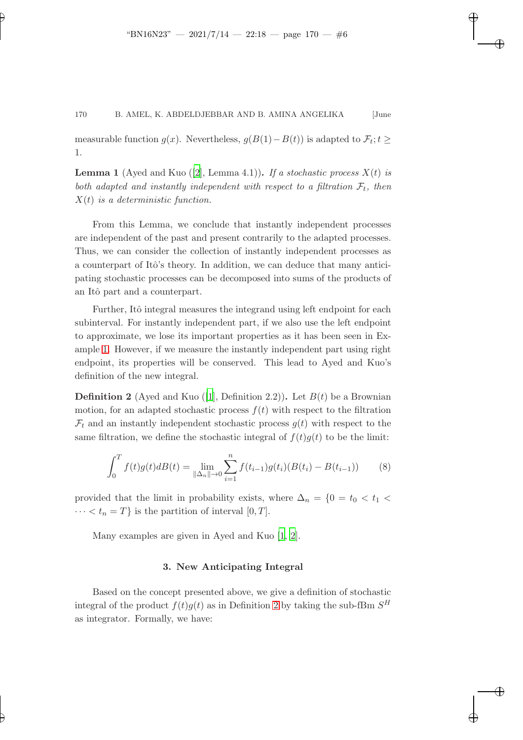✐

✐

✐

✐

✐

measurable function  $g(x)$ . Nevertheless,  $g(B(1) - B(t))$  is adapted to  $\mathcal{F}_t$ ;  $t \geq$ 1.

**Lemma 1** (Ayed and Kuo ([\[2](#page-10-8)], Lemma 4.1)). *If a stochastic process*  $X(t)$  *is* both adapted and instantly independent with respect to a filtration  $\mathcal{F}_t$ , then X(t) *is a deterministic function.*

From this Lemma, we conclude that instantly independent processes are independent of the past and present contrarily to the adapted processes. Thus, we can consider the collection of instantly independent processes as a counterpart of Itô's theory. In addition, we can deduce that many anticipating stochastic processes can be decomposed into sums of the products of an Itô part and a counterpart.

Further, Itô integral measures the integrand using left endpoint for each subinterval. For instantly independent part, if we also use the left endpoint to approximate, we lose its important properties as it has been seen in Example [1.](#page-4-0) However, if we measure the instantly independent part using right endpoint, its properties will be conserved. This lead to Ayed and Kuo's definition of the new integral.

<span id="page-5-0"></span>**Definition 2** (Ayed and Kuo ([\[1](#page-10-4)], Definition 2.2)). Let  $B(t)$  be a Brownian motion, for an adapted stochastic process  $f(t)$  with respect to the filtration  $\mathcal{F}_t$  and an instantly independent stochastic process  $g(t)$  with respect to the same filtration, we define the stochastic integral of  $f(t)g(t)$  to be the limit:

$$
\int_0^T f(t)g(t)dB(t) = \lim_{\|\Delta_n\| \to 0} \sum_{i=1}^n f(t_{i-1})g(t_i)(B(t_i) - B(t_{i-1})) \tag{8}
$$

provided that the limit in probability exists, where  $\Delta_n = \{0 = t_0 < t_1$  $\cdots < t_n = T$  is the partition of interval [0, T].

Many examples are given in Ayed and Kuo [\[1,](#page-10-4) [2](#page-10-8)].

# 3. New Anticipating Integral

<span id="page-5-1"></span>Based on the concept presented above, we give a definition of stochastic integral of the product  $f(t)g(t)$  as in Definition [2](#page-5-0) by taking the sub-fBm  $S^H$ as integrator. Formally, we have: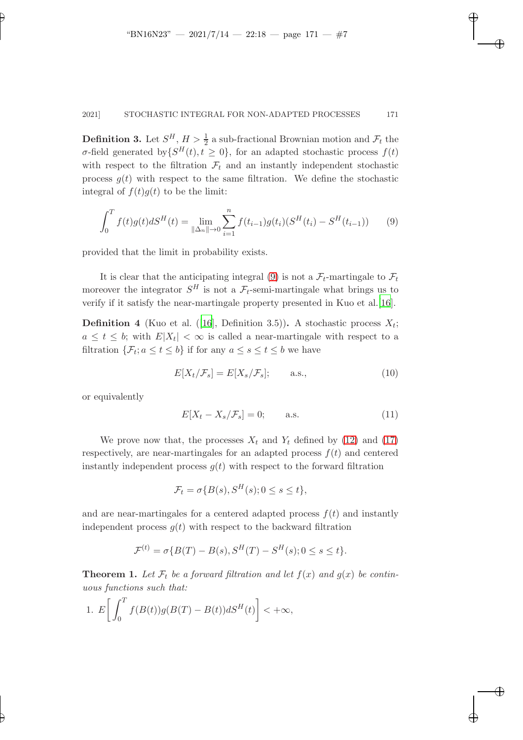✐

✐

✐

#### 2021] STOCHASTIC INTEGRAL FOR NON-ADAPTED PROCESSES 171

**Definition 3.** Let  $S^H$ ,  $H > \frac{1}{2}$  a sub-fractional Brownian motion and  $\mathcal{F}_t$  the σ-field generated by  $\{S^H(t), t \geq 0\}$ , for an adapted stochastic process  $f(t)$ with respect to the filtration  $\mathcal{F}_t$  and an instantly independent stochastic process  $g(t)$  with respect to the same filtration. We define the stochastic integral of  $f(t)g(t)$  to be the limit:

<span id="page-6-0"></span>
$$
\int_0^T f(t)g(t)dS^H(t) = \lim_{\|\Delta_n\| \to 0} \sum_{i=1}^n f(t_{i-1})g(t_i)(S^H(t_i) - S^H(t_{i-1})) \tag{9}
$$

provided that the limit in probability exists.

It is clear that the anticipating integral [\(9\)](#page-6-0) is not a  $\mathcal{F}_t$ -martingale to  $\mathcal{F}_t$ moreover the integrator  $S^H$  is not a  $\mathcal{F}_t$ -semi-martingale what brings us to verify if it satisfy the near-martingale property presented in Kuo et al.[\[16](#page-11-14)].

**Definition 4** (Kuo et al. ([\[16](#page-11-14)], Definition 3.5)). A stochastic process  $X_t$ ;  $a \leq t \leq b$ ; with  $E|X_t| < \infty$  is called a near-martingale with respect to a filtration  $\{\mathcal{F}_t; a \le t \le b\}$  if for any  $a \le s \le t \le b$  we have

$$
E[X_t/\mathcal{F}_s] = E[X_s/\mathcal{F}_s]; \quad \text{a.s.,}
$$
\n(10)

or equivalently

✐

✐

$$
E[X_t - X_s/\mathcal{F}_s] = 0; \qquad \text{a.s.} \tag{11}
$$

We prove now that, the processes  $X_t$  and  $Y_t$  defined by [\(12\)](#page-7-0) and [\(17\)](#page-8-0) respectively, are near-martingales for an adapted process  $f(t)$  and centered instantly independent process  $q(t)$  with respect to the forward filtration

$$
\mathcal{F}_t = \sigma\{B(s), S^H(s); 0 \le s \le t\},\
$$

and are near-martingales for a centered adapted process  $f(t)$  and instantly independent process  $q(t)$  with respect to the backward filtration

$$
\mathcal{F}^{(t)} = \sigma\{B(T) - B(s), S^H(T) - S^H(s); 0 \le s \le t\}.
$$

<span id="page-6-1"></span>**Theorem 1.** Let  $\mathcal{F}_t$  be a forward filtration and let  $f(x)$  and  $g(x)$  be contin*uous functions such that:*

1. 
$$
E\bigg[\int_0^T f(B(t))g(B(T)-B(t))dS^H(t)\bigg]<+\infty,
$$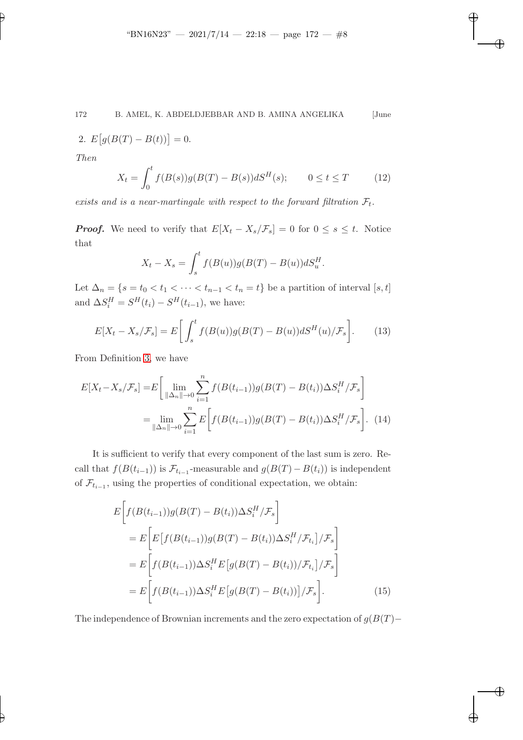✐

✐

✐

2. 
$$
E[g(B(T) - B(t))] = 0.
$$

*Then*

✐

✐

<span id="page-7-0"></span>
$$
X_t = \int_0^t f(B(s))g(B(T) - B(s))dS^H(s); \qquad 0 \le t \le T \tag{12}
$$

exists and is a near-martingale with respect to the forward filtration  $\mathcal{F}_t$ .

**Proof.** We need to verify that  $E[X_t - X_s/\mathcal{F}_s] = 0$  for  $0 \le s \le t$ . Notice that

$$
X_t - X_s = \int_s^t f(B(u))g(B(T) - B(u))dS_u^H.
$$

Let  $\Delta_n = \{s = t_0 < t_1 < \cdots < t_{n-1} < t_n = t\}$  be a partition of interval  $[s, t]$ and  $\Delta S_i^H = S^H(t_i) - S^H(t_{i-1})$ , we have:

$$
E[X_t - X_s/\mathcal{F}_s] = E\bigg[\int_s^t f(B(u))g(B(T) - B(u))dS^H(u)/\mathcal{F}_s\bigg].\tag{13}
$$

From Definition [3,](#page-5-1) we have

$$
E[X_t - X_s / \mathcal{F}_s] = E\left[\lim_{\|\Delta_n\| \to 0} \sum_{i=1}^n f(B(t_{i-1}))g(B(T) - B(t_i))\Delta S_i^H / \mathcal{F}_s\right]
$$
  
= 
$$
\lim_{\|\Delta_n\| \to 0} \sum_{i=1}^n E\left[f(B(t_{i-1}))g(B(T) - B(t_i))\Delta S_i^H / \mathcal{F}_s\right].
$$
 (14)

It is sufficient to verify that every component of the last sum is zero. Recall that  $f(B(t_{i-1}))$  is  $\mathcal{F}_{t_{i-1}}$ -measurable and  $g(B(T) - B(t_i))$  is independent of  $\mathcal{F}_{t_{i-1}}$ , using the properties of conditional expectation, we obtain:

$$
E\bigg[f(B(t_{i-1}))g(B(T) - B(t_i))\Delta S_i^H / \mathcal{F}_s\bigg]
$$
  
= 
$$
E\bigg[E\big[f(B(t_{i-1}))g(B(T) - B(t_i))\Delta S_i^H / \mathcal{F}_{t_i}\big] / \mathcal{F}_s\bigg]
$$
  
= 
$$
E\bigg[f(B(t_{i-1}))\Delta S_i^H E\big[g(B(T) - B(t_i))/\mathcal{F}_{t_i}\big] / \mathcal{F}_s\bigg]
$$
  
= 
$$
E\bigg[f(B(t_{i-1}))\Delta S_i^H E\big[g(B(T) - B(t_i))\big] / \mathcal{F}_s\bigg].
$$
 (15)

The independence of Brownian increments and the zero expectation of  $g(B(T)$ −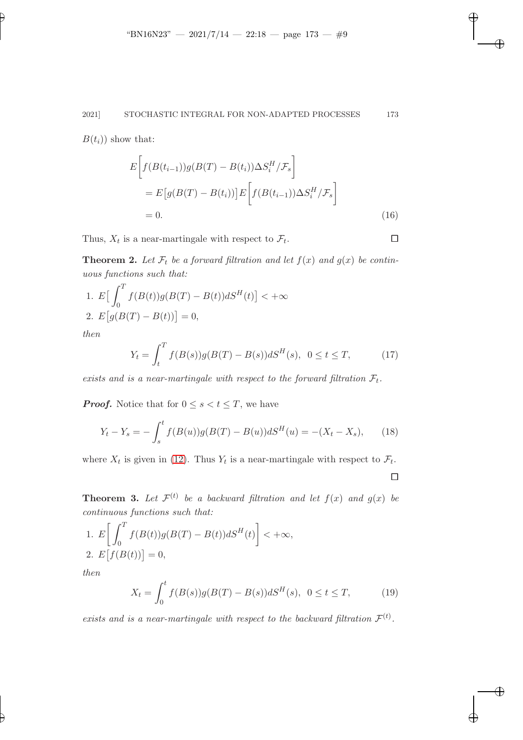#### 2021] STOCHASTIC INTEGRAL FOR NON-ADAPTED PROCESSES 173

 $B(t_i)$  show that:

✐

$$
E\bigg[f(B(t_{i-1}))g(B(T) - B(t_i))\Delta S_i^H / \mathcal{F}_s\bigg]
$$
  
= 
$$
E\big[g(B(T) - B(t_i))\big]E\bigg[f(B(t_{i-1}))\Delta S_i^H / \mathcal{F}_s\bigg]
$$
  
= 0. (16)

Thus,  $X_t$  is a near-martingale with respect to  $\mathcal{F}_t$ .

**Theorem 2.** Let  $\mathcal{F}_t$  be a forward filtration and let  $f(x)$  and  $g(x)$  be contin*uous functions such that:*

1. 
$$
E\left[\int_0^T f(B(t))g(B(T) - B(t))dS^H(t)\right] < +\infty
$$
  
2.  $E[g(B(T) - B(t))] = 0,$ 

<span id="page-8-0"></span>*then*

$$
Y_t = \int_t^T f(B(s))g(B(T) - B(s))dS^H(s), \ 0 \le t \le T,
$$
 (17)

exists and is a near-martingale with respect to the forward filtration  $\mathcal{F}_t$ .

**Proof.** Notice that for  $0 \leq s < t \leq T$ , we have

$$
Y_t - Y_s = -\int_s^t f(B(u))g(B(T) - B(u))dS^H(u) = -(X_t - X_s), \qquad (18)
$$

<span id="page-8-1"></span>where  $X_t$  is given in [\(12\)](#page-7-0). Thus  $Y_t$  is a near-martingale with respect to  $\mathcal{F}_t$ .

 $\Box$ 

✐

✐

✐

✐

**Theorem 3.** Let  $\mathcal{F}^{(t)}$  be a backward filtration and let  $f(x)$  and  $g(x)$  be *continuous functions such that:*

1. 
$$
E\left[\int_0^T f(B(t))g(B(T) - B(t))dS^H(t)\right] < +\infty,
$$
  
2. 
$$
E\left[f(B(t))\right] = 0,
$$
  
then

*then*

✐

$$
X_t = \int_0^t f(B(s))g(B(T) - B(s))dS^H(s), \ \ 0 \le t \le T,\tag{19}
$$

*exists and is a near-martingale with respect to the backward filtration*  $\mathcal{F}^{(t)}$ .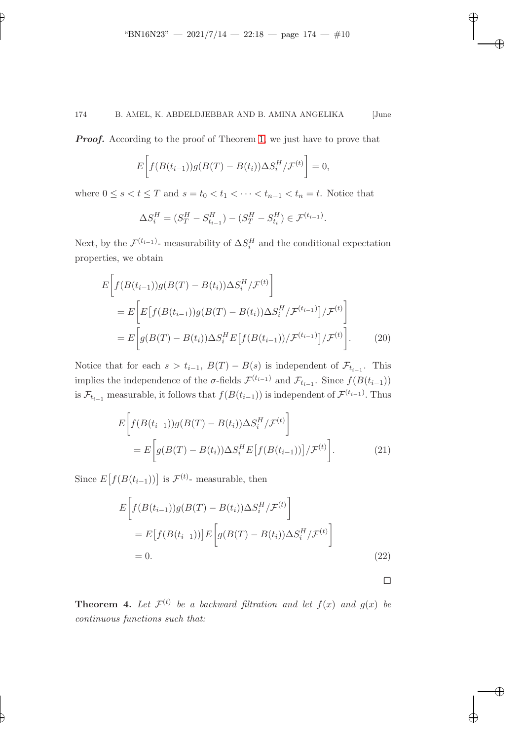✐

# 174 B. AMEL, K. ABDELDJEBBAR AND B. AMINA ANGELIKA [June

**Proof.** According to the proof of Theorem [1,](#page-6-1) we just have to prove that

$$
E\bigg[f(B(t_{i-1}))g(B(T) - B(t_i))\Delta S_i^H/\mathcal{F}^{(t)}\bigg] = 0,
$$

where  $0 \le s < t \le T$  and  $s = t_0 < t_1 < \cdots < t_{n-1} < t_n = t$ . Notice that

$$
\Delta S_i^H = (S_T^H - S_{t_{i-1}}^H) - (S_T^H - S_{t_i}^H) \in \mathcal{F}^{(t_{i-1})}.
$$

Next, by the  $\mathcal{F}^{(t_{i-1})}$ - measurability of  $\Delta S_i^H$  and the conditional expectation properties, we obtain

$$
E\bigg[f(B(t_{i-1}))g(B(T) - B(t_i))\Delta S_i^H / \mathcal{F}^{(t)}\bigg]
$$
  
= 
$$
E\bigg[E\big[f(B(t_{i-1}))g(B(T) - B(t_i))\Delta S_i^H / \mathcal{F}^{(t_{i-1})}\big] / \mathcal{F}^{(t)}\bigg]
$$
  
= 
$$
E\bigg[g(B(T) - B(t_i))\Delta S_i^H E\big[f(B(t_{i-1})) / \mathcal{F}^{(t_{i-1})}\big] / \mathcal{F}^{(t)}\bigg].
$$
 (20)

Notice that for each  $s > t_{i-1}$ ,  $B(T) - B(s)$  is independent of  $\mathcal{F}_{t_{i-1}}$ . This implies the independence of the  $\sigma$ -fields  $\mathcal{F}^{(t_{i-1})}$  and  $\mathcal{F}_{t_{i-1}}$ . Since  $f(B(t_{i-1}))$ is  $\mathcal{F}_{t_{i-1}}$  measurable, it follows that  $f(B(t_{i-1}))$  is independent of  $\mathcal{F}^{(t_{i-1})}$ . Thus

$$
E\bigg[f(B(t_{i-1}))g(B(T) - B(t_i))\Delta S_i^H / \mathcal{F}^{(t)}\bigg]
$$
  
= 
$$
E\bigg[g(B(T) - B(t_i))\Delta S_i^H E\big[f(B(t_{i-1}))\big] / \mathcal{F}^{(t)}\bigg].
$$
 (21)

Since  $E[f(B(t_{i-1}))]$  is  $\mathcal{F}^{(t)}$ - measurable, then

$$
E\bigg[f(B(t_{i-1}))g(B(T) - B(t_i))\Delta S_i^H / \mathcal{F}^{(t)}\bigg]
$$
  
= 
$$
E\big[f(B(t_{i-1}))\big]E\bigg[g(B(T) - B(t_i))\Delta S_i^H / \mathcal{F}^{(t)}\bigg]
$$
  
= 0. (22)

 $\Box$ 

✐

✐

✐

✐

**Theorem 4.** Let  $\mathcal{F}^{(t)}$  be a backward filtration and let  $f(x)$  and  $g(x)$  be *continuous functions such that:*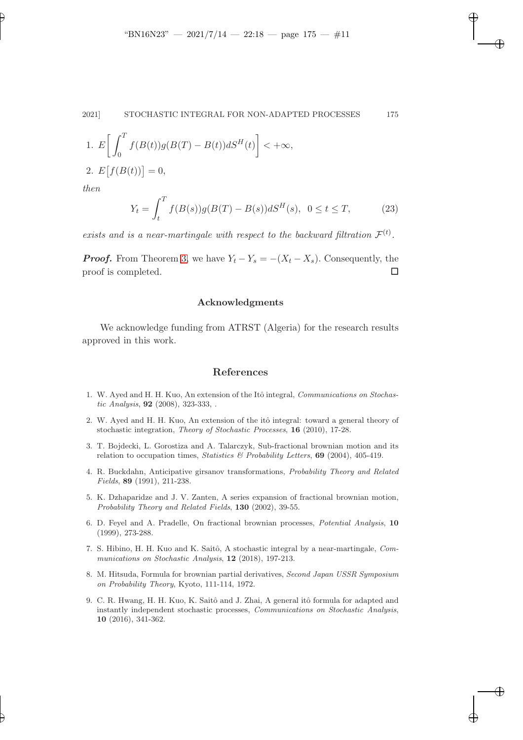✐

✐

✐

1. 
$$
E\left[\int_0^T f(B(t))g(B(T) - B(t))dS^H(t)\right] < +\infty,
$$
  
2. 
$$
E[f(B(t))] = 0,
$$

*then*

✐

✐

$$
Y_t = \int_t^T f(B(s))g(B(T) - B(s))dS^H(s), \ \ 0 \le t \le T,
$$
 (23)

*exists and is a near-martingale with respect to the backward filtration*  $\mathcal{F}^{(t)}$ .

**Proof.** From Theorem [3,](#page-8-1) we have  $Y_t - Y_s = -(X_t - X_s)$ . Consequently, the proof is completed.  $\Box$ 

#### Acknowledgments

We acknowledge funding from ATRST (Algeria) for the research results approved in this work.

## References

- <span id="page-10-4"></span>1. W. Ayed and H. H. Kuo, An extension of the Itô integral, Communications on Stochastic Analysis, 92 (2008), 323-333, .
- <span id="page-10-8"></span>2. W. Ayed and H. H. Kuo, An extension of the itô integral: toward a general theory of stochastic integration, Theory of Stochastic Processes, 16 (2010), 17-28.
- <span id="page-10-0"></span>3. T. Bojdecki, L. Gorostiza and A. Talarczyk, Sub-fractional brownian motion and its relation to occupation times, Statistics & Probability Letters,  $69$  (2004), 405-419.
- <span id="page-10-3"></span>4. R. Buckdahn, Anticipative girsanov transformations, Probability Theory and Related Fields, 89 (1991), 211-238.
- <span id="page-10-1"></span>5. K. Dzhaparidze and J. V. Zanten, A series expansion of fractional brownian motion, Probability Theory and Related Fields, 130 (2002), 39-55.
- <span id="page-10-7"></span>6. D. Feyel and A. Pradelle, On fractional brownian processes, Potential Analysis, 10 (1999), 273-288.
- <span id="page-10-6"></span>7. S. Hibino, H. H. Kuo and K. Saitô, A stochastic integral by a near-martingale, Communications on Stochastic Analysis, 12 (2018), 197-213.
- <span id="page-10-2"></span>8. M. Hitsuda, Formula for brownian partial derivatives, Second Japan USSR Symposium on Probability Theory, Kyoto, 111-114, 1972.
- <span id="page-10-5"></span>9. C. R. Hwang, H. H. Kuo, K. Saitô and J. Zhai, A general itô formula for adapted and instantly independent stochastic processes, Communications on Stochastic Analysis, 10 (2016), 341-362.